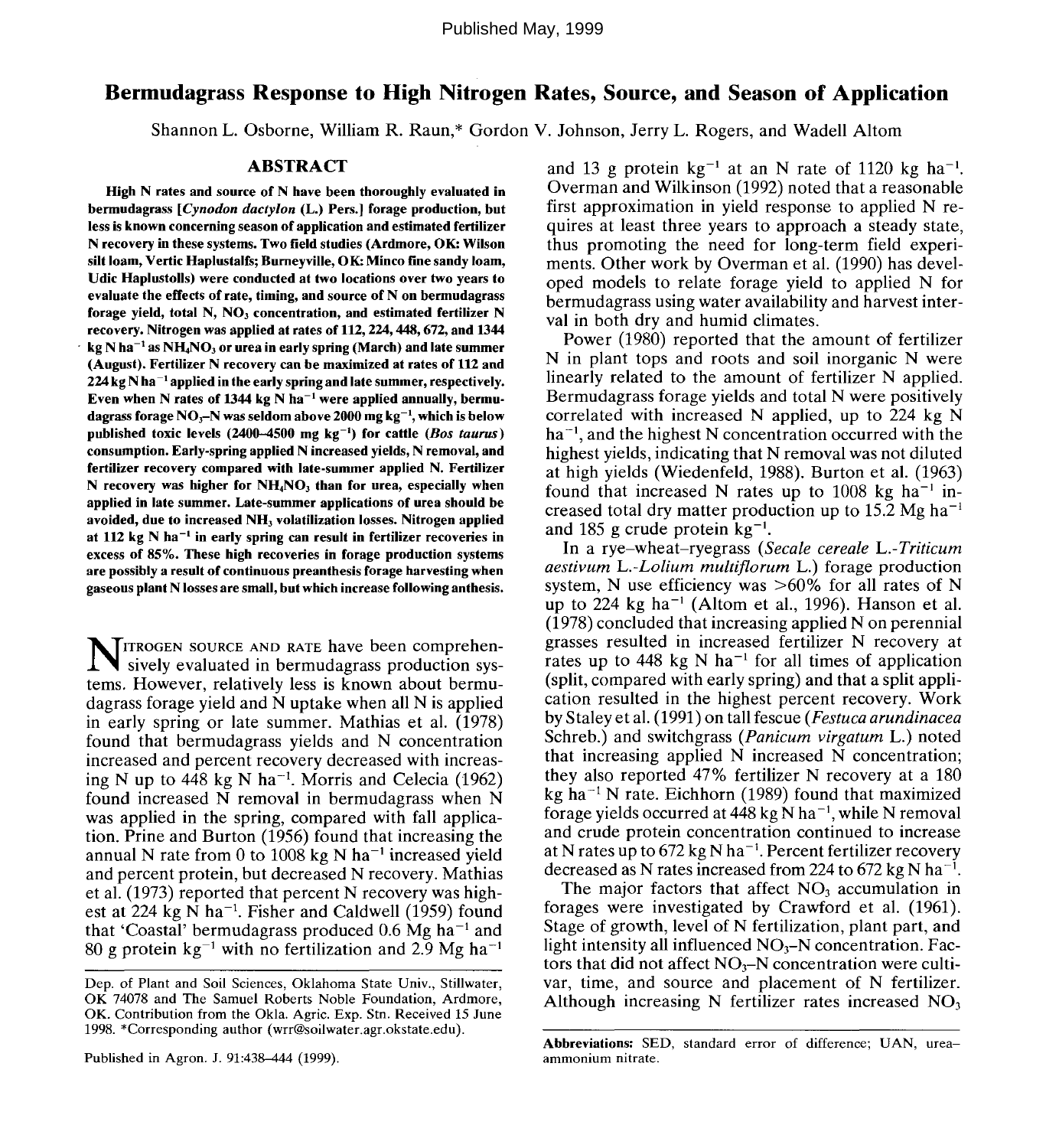# Bermudagrass Response to High Nitrogen **Rates,** Source, and Season of Application

Shannon L. Osborne, William R. Raun,\* Gordon V. Johnson, Jerry L. Rogers, and Wadell Altom

## **ABSTRACT**

**High N rates and source of N have been thoroughly evaluated in bermudagrass** *[Cynodon dactylon* **(L.) Pers.] forage production, but less is known concerning season of application and estimated fertilizer N recovery in these systems. Two field studies (Ardmore, OK: Wilson silt loam, Vertic Haplustalfs; Bumeyville, OK: Minco fine sandy loam, Udic Haplustolls) were conducted at two locations over two years to evaluate the effects of rate, timing, and source of N on bermudagrass forage yield, total N, NO3 concentration, and estimated fertilizer N recovery. Nitrogen was applied at rates of 112,224,448,672, and 1344**  $\mathbf{k}$ g N ha $^{-1}$  as NH<sub>4</sub>NO<sub>3</sub> or urea in early spring (March) and late summer **(August). Fertilizer N recovery can be maximized at rates of 112 and 224 kg N ha ' applied in the early spring and late summer, respectively.** Even when N rates of 1344 kg N ha<sup>-1</sup> were applied annually, bermu**dagrass forage NO3-N was seldom above 2000 mg kg"<sup>1</sup> , which is below published toxic levels (2400-4500 mg kg~') for cattle** *(Bos taunts)* **consumption. Early-spring applied N increased yields, N removal, and fertilizer recovery compared with late-summer applied N. Fertilizer N recovery was higher for NH4NO3 than for urea, especially when applied in late summer. Late-summer applications of urea should be avoided, due to increased NH, volatilization losses. Nitrogen applied at 112 kg N ha"<sup>1</sup> in early spring can result in fertilizer recoveries in excess of 85%. These high recoveries in forage production systems are possibly a result of continuous preanthesis forage harvesting when gaseous plant N losses are small, but which increase following anthesis.**

NITROGEN SOURCE AND RATE have been comprehen-<br>sively evaluated in bermudagrass production syssively evaluated in bermudagrass production systems. However, relatively less is known about bermudagrass forage yield and N uptake when all N is applied in early spring or late summer. Mathias et al. (1978) found that bermudagrass yields and N concentration increased and percent recovery decreased with increasing N up to 448 kg N ha<sup>-1</sup>. Morris and Celecia (1962) found increased N removal in bermudagrass when N was applied in the spring, compared with fall application. Prine and Burton (1956) found that increasing the annual N rate from 0 to 1008 kg N ha<sup>-1</sup> increased yield and percent protein, but decreased N recovery. Mathias et al. (1973) reported that percent N recovery was highest at  $224$  kg N ha<sup>-1</sup>. Fisher and Caldwell (1959) found that 'Coastal' bermudagrass produced 0.6  $\text{Mg}$  ha<sup>-1</sup> and 80 g protein  $kg^{-1}$  with no fertilization and 2.9 Mg ha<sup>-1</sup>

and 13 g protein  $kg^{-1}$  at an N rate of 1120 kg ha<sup>-1</sup> Overman and Wilkinson (1992) noted that a reasonable first approximation in yield response to applied N requires at least three years to approach a steady state, thus promoting the need for long-term field experiments. Other work by Overman et al. (1990) has developed models to relate forage yield to applied N for bermudagrass using water availability and harvest interval in both dry and humid climates.

Power (1980) reported that the amount of fertilizer N in plant tops and roots and soil inorganic N were linearly related to the amount of fertilizer N applied. Bermudagrass forage yields and total N were positively correlated with increased N applied, up to 224 kg N ha<sup>-1</sup>, and the highest N concentration occurred with the highest yields, indicating that N removal was not diluted at high yields (Wiedenfeld, 1988). Burton et al. (1963) found that increased N rates up to 1008 kg ha<sup>-1</sup> increased total dry matter production up to 15.2 Mg ha<sup> $-1$ </sup> and 185 g crude protein  $kg^{-1}$ .

In a rye-wheat-ryegrass *(Secale cereale L.-Triticum aestivum L.-Lolium multiflorum* L.) forage production system. N use efficiency was  $>60\%$  for all rates of N up to  $224$  kg ha<sup>-1</sup> (Altom et al., 1996). Hanson et al. (1978) concluded that increasing applied N on perennial grasses resulted in increased fertilizer N recovery at rates up to 448 kg N ha<sup>-1</sup> for all times of application (split, compared with early spring) and that a split application resulted in the highest percent recovery. Work by Staley et al. (1991) on tall fescue *(Festuca arundinacea* Schreb.) and switchgrass *(Panicum virgatum* L.) noted that increasing applied N increased N concentration; they also reported 47% fertilizer N recovery at a 180 kg ha<sup>-1</sup> N rate. Eichhorn (1989) found that maximized forage yields occurred at  $4\dot{4}8$  kg N ha<sup>-1</sup>, while N removal and crude protein concentration continued to increase at N rates up to 672 kg N ha<sup>-1</sup>. Percent fertilizer recovery decreased as N rates increased from 224 to 672 kg N ha<sup>-1</sup>.

The major factors that affect  $NO<sub>3</sub>$  accumulation in forages were investigated by Crawford et al. (1961). Stage of growth, level of N fertilization, plant part, and light intensity all influenced  $NO_3-N$  concentration. Factors that did not affect  $NO<sub>3</sub>-N$  concentration were cultivar, time, and source and placement of N fertilizer. Although increasing N fertilizer rates increased  $NO<sub>3</sub>$ 

Dep. of Plant and Soil Sciences, Oklahoma State Univ., Stillwater, OK 74078 and The Samuel Roberts Noble Foundation, Ardmore, OK. Contribution from the Okla. Agric. Exp. Stn. Received 15 June 1998. \*Corresponding author (wrr@soilwater.agr.okstate.edu).

Abbreviations: SED, standard error of difference; UAN, ureaammonium nitrate.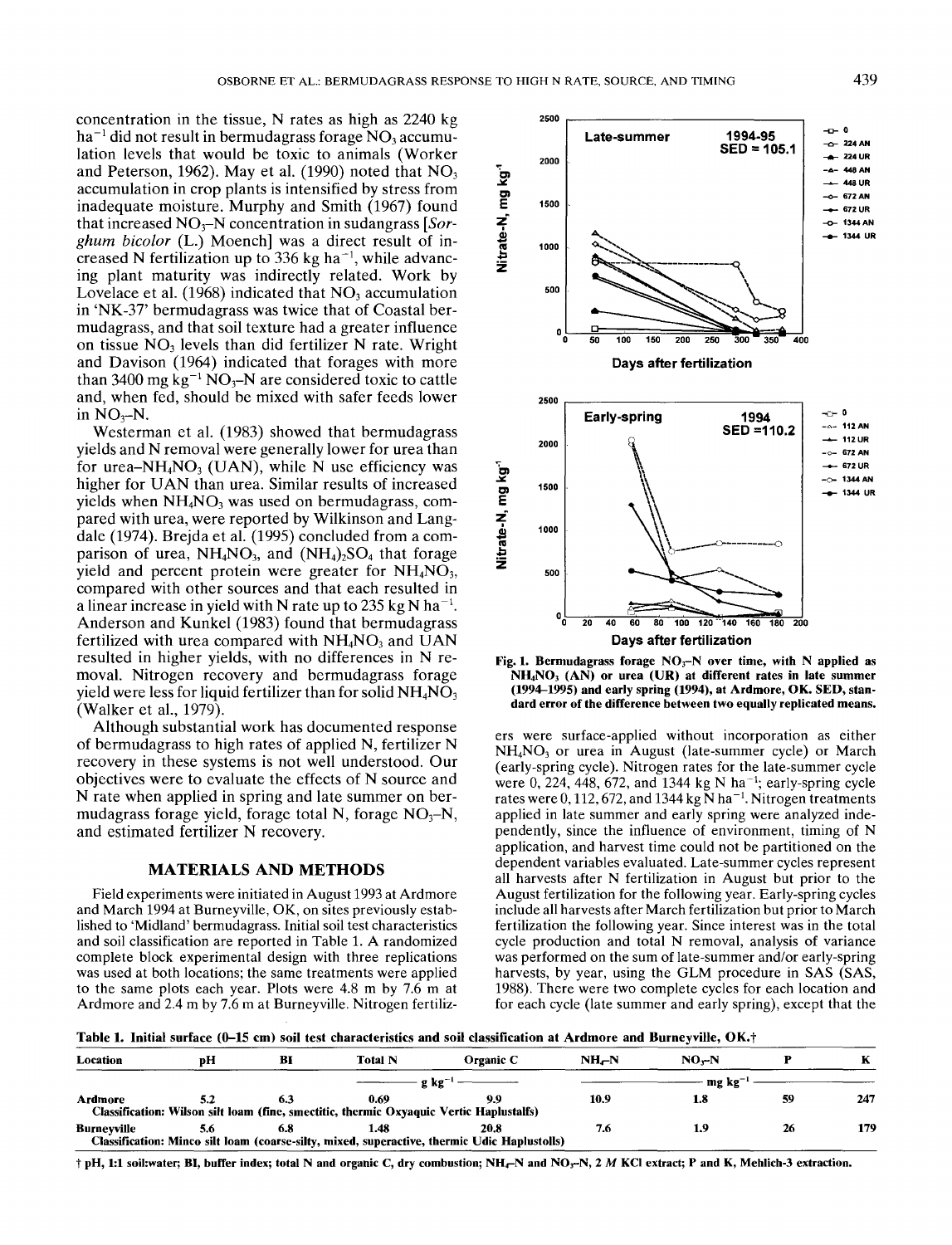concentration in the tissue, N rates as high as 2240 kg  $ha^{-1}$  did not result in bermudagrass forage NO, accumulation levels that would be toxic to animals (Worker and Peterson, 1962). May et al. (1990) noted that  $NO<sub>3</sub>$ accumulation in crop plants is intensified by stress from inadequate moisture. Murphy and Smith (1967) found that increased N03-N concentration in sudangrass *[Sorghum bicolor* (L.) Moench] was a direct result of increased N fertilization up to 336 kg ha<sup> $-1$ </sup>, while advancing plant maturity was indirectly related. Work by Lovelace et al.  $(1968)$  indicated that NO<sub>3</sub> accumulation in 'NK-37' bermudagrass was twice that of Coastal bermudagrass, and that soil texture had a greater influence on tissue NO, levels than did fertilizer N rate. Wright and Davison (1964) indicated that forages with more than 3400 mg kg<sup>-1</sup> NO<sub>3</sub>-N are considered toxic to cattle and, when fed, should be mixed with safer feeds lower in  $NO<sub>3</sub>–N$ .

Westerman et al. (1983) showed that bermudagrass yields and N removal were generally lower for urea than for urea-NH<sub>4</sub>NO<sub>3</sub> (UAN), while N use efficiency was higher for UAN than urea. Similar results of increased yields when  $NH<sub>4</sub>NO<sub>3</sub>$  was used on bermudagrass, compared with urea, were reported by Wilkinson and Langdale (1974). Brejda et al. (1995) concluded from a comparison of urea,  $NH_4NO_3$ , and  $(NH_4)_2SO_4$  that forage yield and percent protein were greater for  $NH<sub>4</sub>NO<sub>3</sub>$ , compared with other sources and that each resulted in a linear increase in yield with N rate up to 235 kg N ha<sup>-1</sup>. Anderson and Kunkel (1983) found that bermudagrass fertilized with urea compared with  $NH<sub>4</sub>NO<sub>3</sub>$  and UAN resulted in higher yields, with no differences in N removal. Nitrogen recovery and bermudagrass forage yield were less for liquid fertilizer than for solid  $NH<sub>4</sub>NO<sub>3</sub>$ (Walker et al., 1979).

Although substantial work has documented response of bermudagrass to high rates of applied N, fertilizer N recovery in these systems is not well understood. Our objectives were to evaluate the effects of N source and N rate when applied in spring and late summer on bermudagrass forage yield, forage total N, forage  $NO<sub>3</sub>$ –N, and estimated fertilizer N recovery.

# **MATERIALS AND METHODS**

Field experiments were initiated in August 1993 at Ardmore and March 1994 at Burneyville, OK, on sites previously established to 'Midland' bermudagrass. Initial soil test characteristics and soil classification are reported in Table 1. A randomized complete block experimental design with three replications was used at both locations; the same treatments were applied to the same plots each year. Plots were 4.8 m by 7.6 m at Ardmore and 2.4 m by 7.6 m at Burneyville. Nitrogen fertiliz-





ers were surface-applied without incorporation as either  $NH<sub>4</sub>NO<sub>3</sub>$  or urea in August (late-summer cycle) or March (early-spring cycle). Nitrogen rates for the late-summer cycle were  $0$ , 224, 448, 672, and 1344 kg N ha<sup>-1</sup>; early-spring cycle rates were 0, 112, 672, and 1344 kg  $\bar{N}$  ha<sup>-1</sup>. Nitrogen treatments applied in late summer and early spring were analyzed independently, since the influence of environment, timing of N application, and harvest time could not be partitioned on the dependent variables evaluated. Late-summer cycles represent all harvests after N fertilization in August but prior to the August fertilization for the following year. Early-spring cycles include all harvests after March fertilization but prior to March fertilization the following year. Since interest was in the total cycle production and total N removal, analysis of variance was performed on the sum of late-summer and/or early-spring harvests, by year, using the GLM procedure in SAS (SAS, 1988). There were two complete cycles for each location and for each cycle (late summer and early spring), except that the

Table 1. Initial surface (0–15 cm) soil test characteristics and soil classification at Ardmore and Burneyville, OK.†

| Location    | рH | BI  | Total N | Organic C                                                                                            | $NH_{C}N$ | $NO-N$                |    |     |  |  |
|-------------|----|-----|---------|------------------------------------------------------------------------------------------------------|-----------|-----------------------|----|-----|--|--|
|             |    |     |         | $-g \text{ kg}^{-1}$                                                                                 |           | $\cdot$ mg kg $^{-1}$ |    |     |  |  |
| Ardmore     |    | 6.3 | 0.69    | Classification: Wilson silt loam (fine, smectitic, thermic Oxyaquic Vertic Haplustalfs)              | 10.9      | 1.8                   | 59 | 247 |  |  |
| Burnevville |    | 6.8 | 1.48    | 20.8<br>Classification: Minco silt loam (coarse-silty, mixed, superactive, thermic Udic Haplustolls) |           |                       |    | 179 |  |  |

 $\dagger$  pH, 1:1 soil:water; BI, buffer index; total N and organic C, dry combustion; NH<sub>C</sub>N and NO<sub>3</sub>-N, 2 *M* KCl extract; P and K, Mehlich-3 extraction.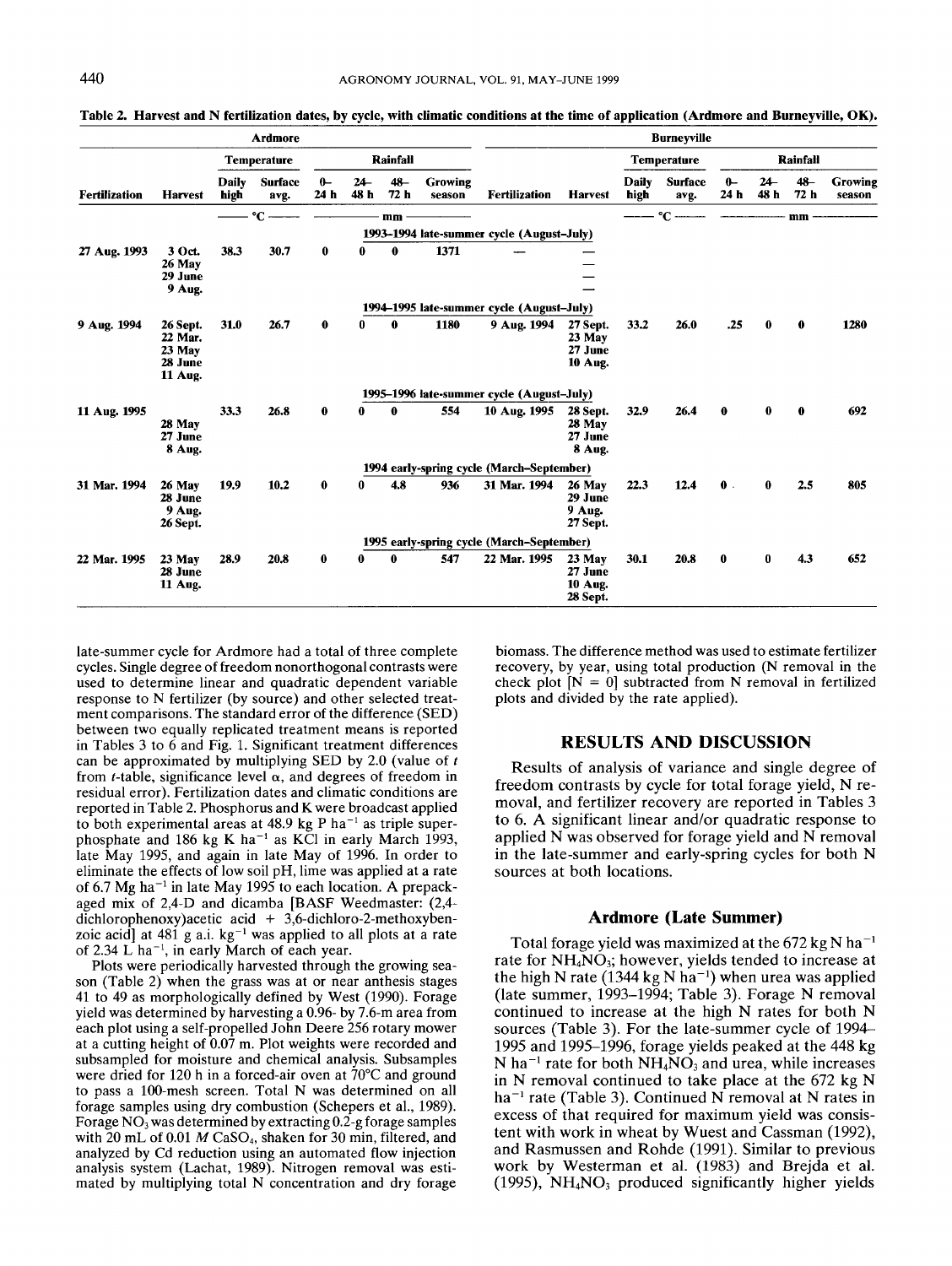|                      |                                                       |                      | <b>Ardmore</b>         |              |               |             |                          |                                           |                                                   |                      | <b>Burneyville</b>     |                          |               |                |                   |
|----------------------|-------------------------------------------------------|----------------------|------------------------|--------------|---------------|-------------|--------------------------|-------------------------------------------|---------------------------------------------------|----------------------|------------------------|--------------------------|---------------|----------------|-------------------|
|                      |                                                       | <b>Temperature</b>   |                        | Rainfall     |               |             |                          |                                           |                                                   | <b>Temperature</b>   | Rainfall               |                          |               |                |                   |
| <b>Fertilization</b> | <b>Harvest</b>                                        | <b>Daily</b><br>high | <b>Surface</b><br>avg. | $0-$<br>24 h | $24-$<br>48 h | 48<br>72 h  | <b>Growing</b><br>season | <b>Fertilization</b>                      | <b>Harvest</b>                                    | <b>Daily</b><br>high | <b>Surface</b><br>avg. | $0 -$<br>24 <sub>h</sub> | $24-$<br>48 h | $48 -$<br>72 h | Growing<br>season |
|                      |                                                       |                      | $\mathrm{C}$ -         |              |               | mm          |                          |                                           |                                                   |                      | $^{\circ}$ C ——        |                          |               | mm             |                   |
|                      |                                                       |                      |                        |              |               |             |                          | 1993-1994 late-summer cycle (August-July) |                                                   |                      |                        |                          |               |                |                   |
| 27 Aug. 1993         | 3 Oct.<br>26 May<br>29 June<br>9 Aug.                 | 38.3                 | 30.7                   | $\bf{0}$     | 0             | $\mathbf 0$ | 1371                     |                                           |                                                   |                      |                        |                          |               |                |                   |
|                      |                                                       |                      |                        |              |               |             |                          | 1994–1995 late-summer cycle (August–July) |                                                   |                      |                        |                          |               |                |                   |
| 9 Aug. 1994          | 26 Sept.<br>22 Mar.<br>$23$ May<br>28 June<br>11 Aug. | 31.0                 | 26.7                   | 0            | 0             | 0           | 1180                     | 9 Aug. 1994                               | 27 Sept.<br>23 May<br>27 June<br><b>10 Aug.</b>   | 33.2                 | 26.0                   | .25                      | $\mathbf 0$   | $\mathbf 0$    | 1280              |
|                      |                                                       |                      |                        |              |               |             |                          | 1995–1996 late-summer cycle (August-July) |                                                   |                      |                        |                          |               |                |                   |
| 11 Aug. 1995         | 28 May<br>27 June<br>8 Aug.                           | 33.3                 | 26.8                   | $\bf{0}$     | 0             | 0           | 554                      | 10 Aug. 1995                              | 28 Sept.<br>28 May<br>27 June<br><b>8 Aug.</b>    | 32.9                 | 26.4                   | $\mathbf 0$              | 0             | $\mathbf 0$    | 692               |
|                      |                                                       |                      |                        |              |               |             |                          | 1994 early-spring cycle (March-September) |                                                   |                      |                        |                          |               |                |                   |
| 31 Mar. 1994         | 26 May<br>28 June<br>9 Aug.<br>26 Sept.               | 19.9                 | 10.2                   | $\bf{0}$     | 0             | 4.8         | 936                      | 31 Mar. 1994                              | 26 May<br>29 June<br>9 Aug.<br>27 Sept.           | 22.3                 | 12.4                   | $\mathbf{0}$ .           | $\bf{0}$      | 2.5            | 805               |
|                      |                                                       |                      |                        |              |               |             |                          | 1995 early-spring cycle (March-September) |                                                   |                      |                        |                          |               |                |                   |
| 22 Mar. 1995         | $23$ May<br>28 June<br><b>11 Aug.</b>                 | 28.9                 | 20.8                   | $\bf{0}$     | 0             | 0           | 547                      | 22 Mar. 1995                              | $23$ May<br>27 June<br><b>10 Aug.</b><br>28 Sept. | 30.1                 | 20.8                   | $\bf{0}$                 | $\bf{0}$      | 4.3            | 652               |

**Table 2. Harvest and N fertilization dates, by cycle, with climatic conditions at the time of application (Ardmore and Burneyville, OK).** 

late-summer cycle for Ardmore had a total of three complete cycles. Single degree of freedom nonorthogonal contrasts were used to determine linear and quadratic dependent variable response to N fertilizer (by source) and other selected treatment comparisons. The standard error of the difference (SED) between two equally replicated treatment means is reported in Tables 3 to  $6$  and Fig. 1. Significant treatment differences can be approximated by multiplying SED by 2.0 (value of *t*  from *t*-table, significance level  $\alpha$ , and degrees of freedom in residual error). Fertilization dates and climatic conditions are reported in Table 2. Phosphorus and K were broadcast applied to both experimental areas at 48.9 kg P ha<sup>-1</sup> as triple superphosphate and 186 kg K ha<sup>-1</sup> as KCl in early March 1993, late May 1995, and again in late May of 1996. In order to eliminate the effects of low soil pH, lime was applied at a rate of *6.7* Mg ha-' in late May 1995 to each location. **A** prepackaged mix of 2,4-D and dicamba [BASF Weedmaster: (2,4 dichlorophenoxy)acetic acid + 3,6-dichloro-2-methoxybenzoic acid] at  $481$  g a.i. kg<sup>-1</sup> was applied to all plots at a rate of 2.34 L ha<sup>-1</sup>, in early March of each year.

Plots were periodically harvested through the growing season (Table 2) when the grass was at or near anthesis stages 41 to 49 as morphologically defined by West (1990). Forage yield was determined by harvesting a 0.96- by 7.6-m area from each plot using a self-propelled John Deere 256 rotary mower at a cutting height of 0.07 m. Plot weights were recorded and subsampled for moisture and chemical analysis. Subsamples were dried for 120 h in a forced-air oven at 70°C and ground to pass a 100-mesh screen. Total N was determined on all forage samples using dry combustion (Schepers et al., 1989). Forage  $NO<sub>3</sub>$  was determined by extracting 0.2-g forage samples with 20 mL of 0.01 *M* CaSO<sub>4</sub>, shaken for 30 min, filtered, and analyzed by Cd reduction using an automated flow injection analysis system (Lachat, 1989). Nitrogen removal was estimated by multiplying total N concentration and dry forage

biomass. The difference method was used to estimate fertilizer recovery, by year, using total production (N removal in the check plot  $[N = 0]$  subtracted from N removal in fertilized plots and divided by the rate applied).

#### **RESULTS AND DISCUSSION**

Results of analysis of variance and single degree of freedom contrasts by cycle for total forage yield, N removal, and fertilizer recovery are reported in Tables 3 to 6. **A** significant linear and/or quadratic response to applied N was observed for forage yield and N removal in the late-summer and early-spring cycles for both N sources at both locations.

### **Ardmore (Late Summer)**

Total forage yield was maximized at the 672 kg N ha<sup>-1</sup> rate for NH<sub>4</sub>NO<sub>3</sub>; however, yields tended to increase at the high N rate (1344 kg N ha<sup>-1</sup>) when urea was applied (late summer, 1993-1994; Table 3). Forage N removal continued to increase at the high N rates for both N sources (Table 3). For the late-summer cycle of 1994- 1995 and 1995-1996, forage yields peaked at the  $448$  kg N ha<sup>-1</sup> rate for both  $NH<sub>4</sub>NO<sub>3</sub>$  and urea, while increases in N removal continued to take place at the 672 kg N ha<sup>-1</sup> rate (Table 3). Continued N removal at N rates in excess of that required for maximum yield was consistent with work in wheat by Wuest and Cassman (1992), and Rasmussen and Rohde (1991). Similar to previous work by Westerman et al. **(1983)** and Brejda et al. (1995), **NH4N03** produced significantly higher yields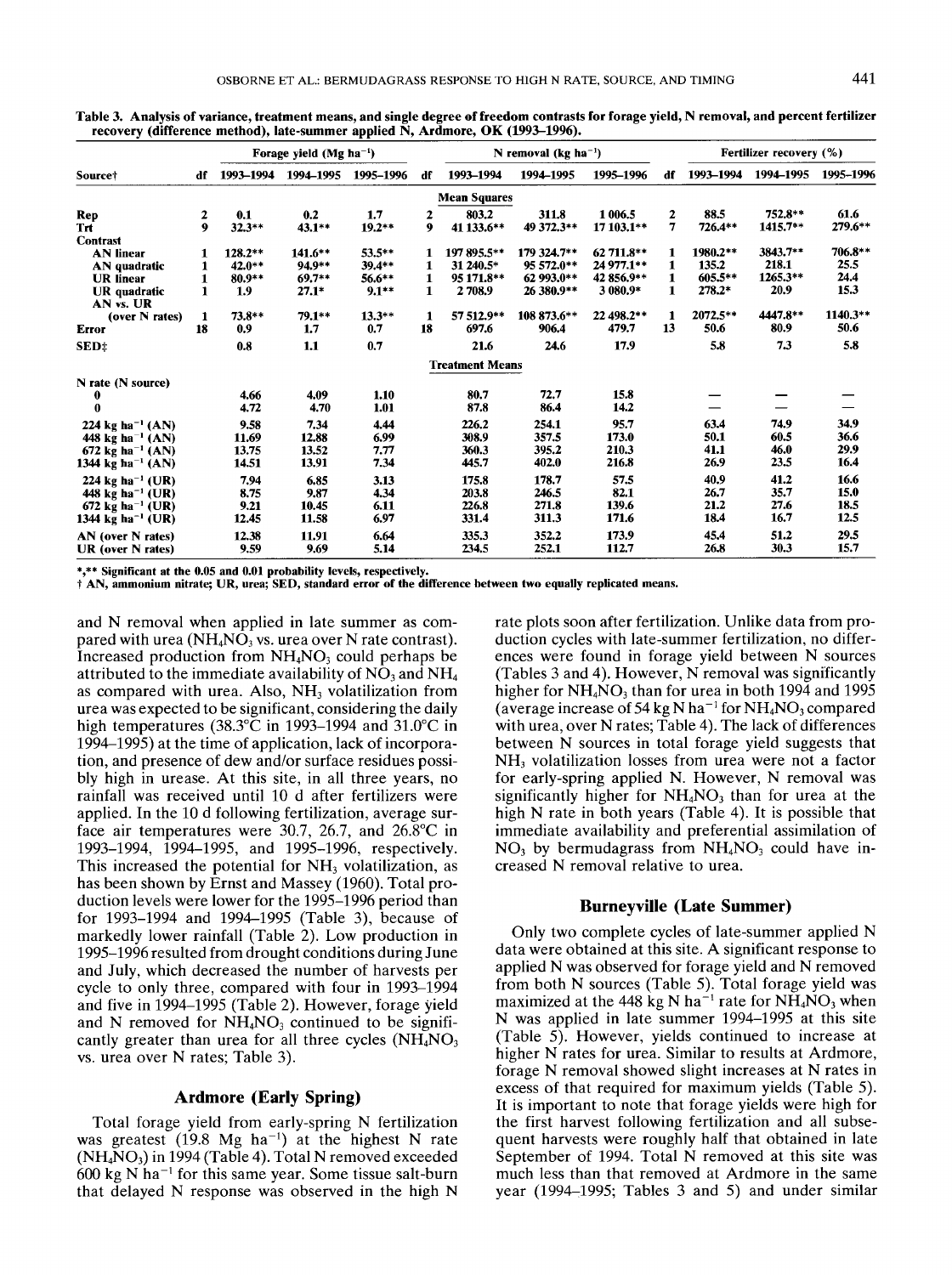|                               |    |           | Forage yield (Mg $ha^{-1}$ ) |           |             |                        | N removal (kg ha <sup>-1</sup> ) |            |                |           | Fertilizer recovery (%) |           |
|-------------------------------|----|-----------|------------------------------|-----------|-------------|------------------------|----------------------------------|------------|----------------|-----------|-------------------------|-----------|
| Source <sup>+</sup>           | df | 1993-1994 | 1994-1995                    | 1995-1996 | df          | 1993-1994              | 1994-1995                        | 1995-1996  | df             | 1993-1994 | 1994-1995               | 1995-1996 |
|                               |    |           |                              |           |             | <b>Mean Squares</b>    |                                  |            |                |           |                         |           |
| Rep                           | 2  | 0.1       | 0.2                          | 1.7       | 2           | 803.2                  | 311.8                            | 1 006.5    | 2              | 88.5      | 752.8**                 | 61.6      |
| Trt                           | 9  | $32.3**$  | $43.1**$                     | $19.2**$  | 9           | 41 133.6**             | 49 372.3**                       | 17 103.1** | $\overline{7}$ | 726.4**   | 1415.7**                | 279.6**   |
| <b>Contrast</b>               |    |           |                              |           |             |                        |                                  |            |                |           |                         |           |
| <b>AN</b> linear              |    | $128.2**$ | $141.6***$                   | $53.5**$  |             | 197 895.5**            | 179 324.7**                      | 62 711.8** | 1              | 1980.2**  | 3843.7**                | 706.8**   |
| AN quadratic                  |    | 42.0**    | 94.9**                       | $39.4**$  | 1           | 31 240.5*              | 95 572.0**                       | 24 977.1** | 1              | 135.2     | 218.1                   | 25.5      |
| <b>UR</b> linear              |    | 80.9**    | $69.7**$                     | 56.6**    | 1           | 95 171.8**             | 62 993.0**                       | 42 856.9** | 1              | 605.5**   | 1265.3**                | 24.4      |
| UR quadratic<br>AN vs. UR     |    | 1.9       | $27.1*$                      | $9.1**$   | $\mathbf 1$ | 2708.9                 | 26 380.9**                       | 3 080.9*   | 1              | $278.2*$  | 20.9                    | 15.3      |
| (over N rates)                | 1  | 73.8**    | 79.1**                       | $13.3**$  | 1           | 57 512.9**             | 108 873.6**                      | 22 498.2** | $\mathbf{1}$   | 2072.5**  | 4447.8**                | 1140.3**  |
| <b>Error</b>                  | 18 | 0.9       | 1.7                          | 0.7       | 18          | 697.6                  | 906.4                            | 479.7      | 13             | 50.6      | 80.9                    | 50.6      |
| SED <sup>+</sup>              |    | 0.8       | 1,1                          | 0.7       |             | 21.6                   | 24.6                             | 17.9       |                | 5.8       | 7.3                     | 5.8       |
|                               |    |           |                              |           |             | <b>Treatment Means</b> |                                  |            |                |           |                         |           |
| N rate (N source)             |    |           |                              |           |             |                        |                                  |            |                |           |                         |           |
| 0                             |    | 4.66      | 4.09                         | 1.10      |             | 80.7                   | 72.7                             | 15.8       |                |           |                         |           |
| 0                             |    | 4.72      | 4.70                         | 1.01      |             | 87.8                   | 86.4                             | 14.2       |                |           |                         |           |
| 224 kg ha <sup>-1</sup> (AN)  |    | 9.58      | 7,34                         | 4.44      |             | 226.2                  | 254.1                            | 95.7       |                | 63.4      | 74.9                    | 34,9      |
| 448 kg ha <sup>-1</sup> (AN)  |    | 11.69     | 12.88                        | 6.99      |             | 308.9                  | 357.5                            | 173.0      |                | 50.1      | 60.5                    | 36.6      |
| 672 kg ha <sup>-1</sup> (AN)  |    | 13.75     | 13.52                        | 7.77      |             | 360.3                  | 395.2                            | 210.3      |                | 41.1      | 46.0                    | 29.9      |
| 1344 kg ha <sup>-1</sup> (AN) |    | 14.51     | 13.91                        | 7.34      |             | 445.7                  | 402.0                            | 216.8      |                | 26.9      | 23.5                    | 16.4      |
| 224 kg ha <sup>-1</sup> (UR)  |    | 7,94      | 6.85                         | 3.13      |             | 175.8                  | 178.7                            | 57.5       |                | 40.9      | 41.2                    | 16.6      |
| 448 kg ha <sup>-1</sup> (UR)  |    | 8.75      | 9,87                         | 4.34      |             | 203.8                  | 246.5                            | 82.1       |                | 26.7      | 35.7                    | 15.0      |
| 672 kg ha <sup>-1</sup> (UR)  |    | 9.21      | 10.45                        | 6.11      |             | 226.8                  | 271.8                            | 139.6      |                | 21.2      | 27.6                    | 18.5      |
| 1344 kg ha <sup>-1</sup> (UR) |    | 12.45     | 11.58                        | 6.97      |             | 331.4                  | 311.3                            | 171.6      |                | 18.4      | 16.7                    | 12.5      |
| AN (over N rates)             |    | 12.38     | 11.91                        | 6.64      |             | 335.3                  | 352,2                            | 173.9      |                | 45.4      | 51.2                    | 29.5      |
| <b>UR</b> (over N rates)      |    | 9,59      | 9.69                         | 5.14      |             | 234.5                  | 252.1                            | 112.7      |                | 26.8      | 30.3                    | 15.7      |

**Table 3. Analysis of variance, treatment means, and single degree of freedom contrasts for forage yield, N removal, and percent fertilizer recovery (difference method), late-summer applied N, Ardmore, OK (1993-1996).** 

\*,\*\* Significant at the 0.05 and **0.01** probability levels, respectively.

-F **AN,** ammonium nitrate; UR, urea; SED, standard error of the difference between two equally replicated means.

and N removal when applied in late summer as compared with urea ( $NH<sub>4</sub>NO<sub>3</sub>$  vs. urea over N rate contrast). Increased production from  $NH<sub>4</sub>NO<sub>3</sub>$  could perhaps be attributed to the immediate availability of  $N\overline{O}_3$  and  $NH_4$ as compared with urea. Also, NH<sub>3</sub> volatilization from urea was expected to be significant, considering the daily high temperatures (38.3"C in 1993-1994 and 31.0"C in 1994-1995) at the time of application, lack of incorporation, and presence of dew and/or surface residues possibly high in urease. At this site, in all three years, no rainfall was received until 10 d after fertilizers were applied. In the 10 d following fertilization, average surface air temperatures were 30.7, 26.7, and  $26.8^{\circ}$ C in 1993-1994, 1994-1995, and 1995-1996, respectively. This increased the potential for  $NH<sub>3</sub>$  volatilization, as has been shown by Ernst and Massey (1960). Total production levels were lower for the 1995-1996 period than for 1993-1994 and 1994-1995 (Table 3), because of markedly lower rainfall (Table 2). Low production in 1995-1996 resulted from drought conditions during June and July, which decreased the number of harvests per cycle to only three, compared with four in 1993-1994 and five in 1994-1995 (Table 2). However, forage yield and N removed for  $NH<sub>4</sub>NO<sub>3</sub>$  continued to be significantly greater than urea for all three cycles  $(NH<sub>4</sub>NO<sub>3</sub>)$ vs. urea over N rates; Table 3).

### **Ardmore (Early Spring)**

Total forage yield from early-spring N fertilization was greatest  $(19.8 \text{ Mg} \text{ ha}^{-1})$  at the highest N rate  $(NH<sub>a</sub>NO<sub>3</sub>)$  in 1994 (Table 4). Total N removed exceeded  $600 \text{ kg N}$  ha<sup>-1</sup> for this same year. Some tissue salt-burn that delayed N response was observed in the high N rate plots soon after fertilization. Unlike data from production cycles with late-summer fertilization, no differences were found in forage yield between N sources (Tables 3 and 4). However, N removal was significantly higher for  $NH_4NO_3$  than for urea in both 1994 and 1995 (average increase of 54 kg N ha<sup>-1</sup> for  $NH<sub>4</sub>NO<sub>3</sub>$  compared with urea, over N rates; Table 4). The lack of differences between N sources in total forage yield suggests that NH3 volatilization losses from urea were not a factor for early-spring applied N. However, N removal was significantly higher for  $NH<sub>4</sub>NO<sub>3</sub>$  than for urea at the high N rate in both years (Table 4). It is possible that immediate availability and preferential assimilation of  $NO<sub>3</sub>$  by bermudagrass from  $NH<sub>4</sub>NO<sub>3</sub>$  could have increased N removal relative to urea.

#### **Burneyville (Late Summer)**

Only two complete cycles of late-summer applied N data were obtained at this site. A significant response to applied N was observed for forage yield and N removed from both N sources (Table 5). Total forage yield was maximized at the 448 kg N ha<sup>-1</sup> rate for  $NH<sub>4</sub>NO<sub>3</sub>$  when N was applied in late summer 1994-1995 at this site (Table 5). However, yields continued to increase at higher N rates for urea. Similar to results at Ardmore, forage N removal showed slight increases at N rates in excess of that required for maximum yields (Table 5). It is important to note that forage yields were high for the first harvest following fertilization and all subsequent harvests were roughly half that obtained in late September of 1994. Total N removed at this site was much less than that removed at Ardmore in the same year (1994-1995; Tables 3 and 5) and under similar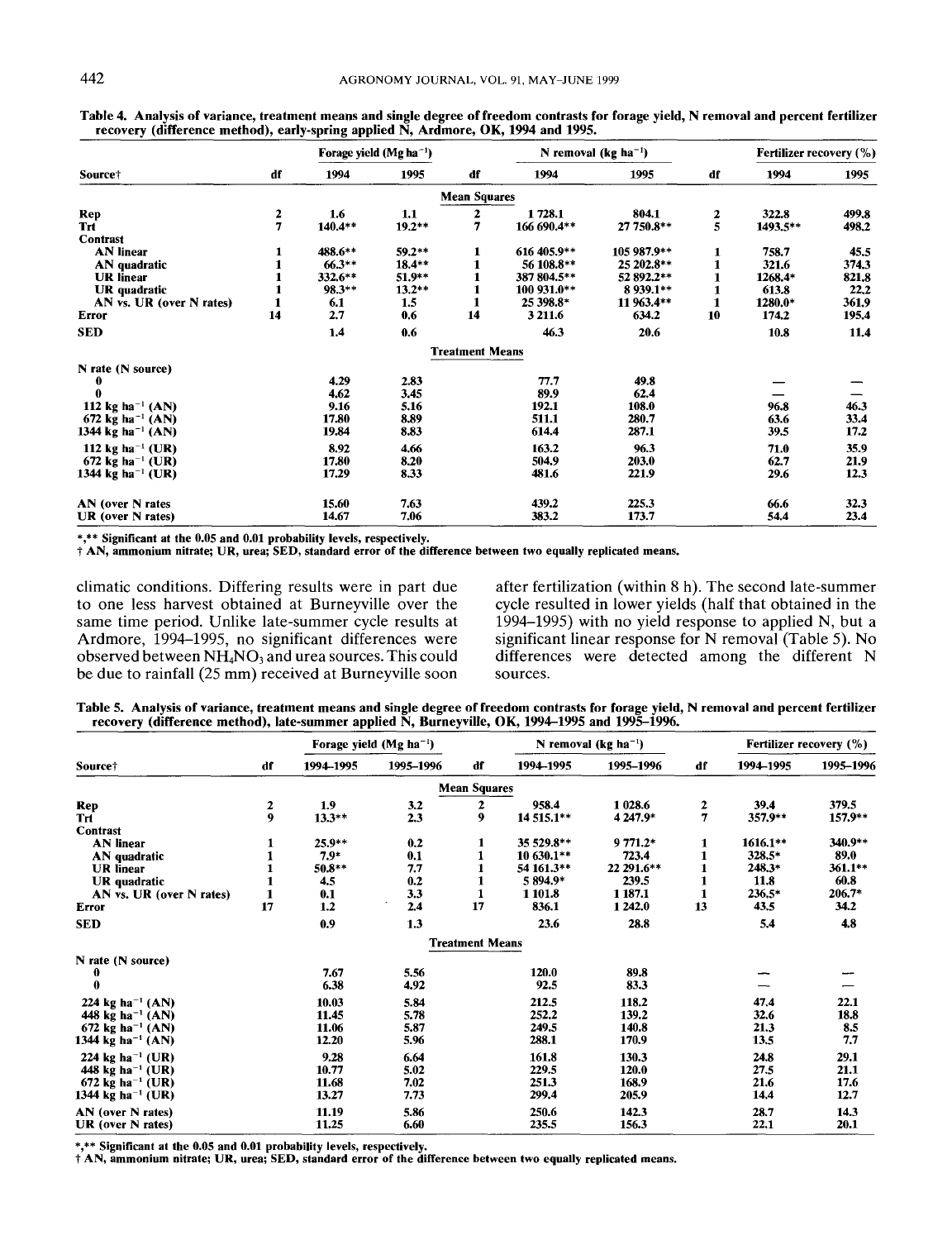|                               |               | Forage yield $(Mg ha^{-1})$ |          |                        |             | N removal (kg ha <sup>-1</sup> ) |               | Fertilizer recovery (%) |       |  |
|-------------------------------|---------------|-----------------------------|----------|------------------------|-------------|----------------------------------|---------------|-------------------------|-------|--|
| Source†                       | df            | 1994<br>1995                |          | df                     | 1994        | 1995                             | df            | 1994                    | 1995  |  |
|                               |               |                             |          | <b>Mean Squares</b>    |             |                                  |               |                         |       |  |
| Rep                           |               | 1.6                         | 1.1      | 2                      | 1728.1      | 804.1                            |               | 322.8                   | 499.8 |  |
| <b>Trt</b>                    | $\frac{2}{7}$ | 140.4**                     | $19.2**$ | 7                      | 166 690.4** | 27 750.8**                       | $\frac{2}{5}$ | 1493.5**                | 498.2 |  |
| Contrast                      |               |                             |          |                        |             |                                  |               |                         |       |  |
| <b>AN</b> linear              |               | 488.6**                     | $59.2**$ |                        | 616 405.9** | 105 987.9**                      |               | 758.7                   | 45.5  |  |
| AN quadratic                  |               | $66.3**$                    | $18.4**$ |                        | 56 108.8**  | 25 202.8**                       |               | 321.6                   | 374,3 |  |
| <b>UR</b> linear              |               | 332.6**                     | $51.9**$ |                        | 387 804.5** | 52 892.2**                       |               | 1268.4*                 | 821.8 |  |
| UR quadratic                  |               | 98.3**                      | $13.2**$ |                        | 100 931.0** | 8 9 39.1**                       |               | 613.8                   | 22,2  |  |
| AN vs. UR (over N rates)      | 1             | 6.1                         | 1.5      | 1                      | 25 398.8*   | 11 963.4**                       | 1             | 1280.0*                 | 361.9 |  |
| Error                         | 14            | 2.7                         | 0.6      | 14                     | 3 211.6     | 634.2                            | 10            | 174,2                   | 195.4 |  |
| <b>SED</b>                    |               | 1,4                         | 0.6      |                        | 46.3        | 20.6                             |               | 10.8                    | 11.4  |  |
|                               |               |                             |          | <b>Treatment Means</b> |             |                                  |               |                         |       |  |
| N rate (N source)             |               |                             |          |                        |             |                                  |               |                         |       |  |
| 0                             |               | 4.29                        | 2.83     |                        | 77.7        | 49.8                             |               |                         |       |  |
|                               |               | 4.62                        | 3.45     |                        | 89.9        | 62.4                             |               |                         |       |  |
| 112 kg ha <sup>-1</sup> (AN)  |               | 9.16                        | 5.16     |                        | 192.1       | 108.0                            |               | 96.8                    | 46.3  |  |
| 672 kg ha <sup>-1</sup> (AN)  |               | 17.80                       | 8.89     |                        | 511.1       | 280.7                            |               | 63.6                    | 33.4  |  |
| 1344 kg ha <sup>-1</sup> (AN) |               | 19.84                       | 8.83     |                        | 614.4       | 287.1                            |               | 39.5                    | 17.2  |  |
| 112 kg ha <sup>-1</sup> (UR)  |               | 8.92                        | 4.66     |                        | 163.2       | 96.3                             |               | 71.0                    | 35.9  |  |
| 672 kg ha <sup>-1</sup> (UR)  |               | 17.80                       | 8.20     |                        | 504.9       | 203.0                            |               | 62.7                    | 21.9  |  |
| 1344 kg ha <sup>-1</sup> (UR) |               | 17.29                       | 8.33     |                        | 481.6       | 221.9                            |               | 29.6                    | 12.3  |  |
| AN (over N rates              |               | 15.60                       | 7.63     |                        | 439.2       | 225.3                            |               | 66.6                    | 32.3  |  |
| UR (over N rates)             |               | 14.67                       | 7.06     |                        | 383.2       | 173.7                            |               | 54.4                    | 23.4  |  |

Table **4.** Analysis of variance, treatment means and single degree of freedom contrasts for forage yield, **N** removal and percent fertilizer recovery (difference method), early-spring applied **N,** Ardmore, OK, **1994** and 1995.

\*,\*\* Significant at the 0.05 and **0.01** probability levels, respectively.

t **AN,** ammonium nitrate; UR, urea; SED, standard error of the difference between two equally replicated means.

climatic conditions. Differing results were in part due after fertilization (within **8** h). The second late-summer to one less harvest obtained at Burneyville over the cycle resulted in lower yields (half that obtained in the<br>same time period. Unlike late-summer cycle results at 1994–1995) with no yield response to applied N, but a same time period. Unlike late-summer cycle results at 1994–1995) with no yield response to applied N, but a Ardmore, 1994–1995, no significant differences were significant linear response for N removal (Table 5). No observed between  $NH<sub>4</sub>NO<sub>3</sub>$  and urea sources. This could be due to rainfall (25 mm) received at Burneyville soon sources.

significant linear response for N removal (Table 5). No differences were detected among the different N

Table **5.** Analysis of variance, treatment means and single degree of freedom contrasts for forage yield, **N** removal and percent fertilizer recoverv (difference method), late-summer applied **N,** Burnevville, OK, 1994-1995 and 1995-1996.

|                               |                  | Forage yield $(Mg ha^{-1})$ |           |                        |            | N removal (kg ha <sup>-1</sup> ) |    | <b>Fertilizer recovery (%)</b> |           |  |
|-------------------------------|------------------|-----------------------------|-----------|------------------------|------------|----------------------------------|----|--------------------------------|-----------|--|
| Source <sup>†</sup>           | df               | 1994-1995                   | 1995-1996 | df                     | 1994-1995  | 1995-1996                        | df | 1994-1995                      | 1995-1996 |  |
|                               |                  |                             |           | <b>Mean Squares</b>    |            |                                  |    |                                |           |  |
| Rep                           | 2                | 1.9                         | 3.2       | 2                      | 958.4      | 1 028.6                          | 2  | 39,4                           | 379.5     |  |
| Trt                           | $\boldsymbol{9}$ | $13.3***$                   | 2.3       | 9                      | 14 515.1** | 4 247.9*                         | 7  | 357.9**                        | $157.9**$ |  |
| <b>Contrast</b>               |                  |                             |           |                        |            |                                  |    |                                |           |  |
| <b>AN</b> linear              |                  | $25.9**$                    | 0.2       |                        | 35 529.8** | 9 771.2*                         |    | 1616.1**                       | 340.9**   |  |
| AN quadratic                  |                  | $7.9*$                      | 0.1       |                        | 10 630.1** | 723.4                            |    | 328.5*                         | 89.0      |  |
| <b>UR</b> linear              |                  | $50.8**$                    | 7.7       |                        | 54 161.3** | 22 29 1.6**                      |    | 248.3*                         | $361.1**$ |  |
| UR quadratic                  |                  | 4.5                         | 0.2       |                        | 5 894.9*   | 239.5                            |    | 11.8                           | 60.8      |  |
| AN vs. UR (over N rates)      | 1                | 0.1                         | 3.3       |                        | 1 101.8    | 1 187.1                          |    | $236.5*$                       | 206.7*    |  |
| <b>Error</b>                  | 17               | 1.2                         | 2.4       | 17                     | 836.1      | 1 242.0                          | 13 | 43.5                           | 34.2      |  |
| <b>SED</b>                    |                  | 0.9                         | 1.3       |                        | 23.6       | 28.8                             |    | 5.4                            | 4.8       |  |
|                               |                  |                             |           | <b>Treatment Means</b> |            |                                  |    |                                |           |  |
| N rate (N source)             |                  |                             |           |                        |            |                                  |    |                                |           |  |
| 0                             |                  | 7.67                        | 5.56      |                        | 120.0      | 89.8                             |    |                                |           |  |
| 0                             |                  | 6.38                        | 4,92      |                        | 92.5       | 83.3                             |    |                                |           |  |
| 224 kg ha <sup>-1</sup> (AN)  |                  | 10.03                       | 5.84      |                        | 212.5      | 118.2                            |    | 47.4                           | 22.1      |  |
| 448 kg ha <sup>-1</sup> (AN)  |                  | 11.45                       | 5.78      |                        | 252.2      | 139.2                            |    | 32.6                           | 18.8      |  |
| 672 kg ha <sup>-1</sup> (AN)  |                  | 11.06                       | 5.87      |                        | 249.5      | 140.8                            |    | 21.3                           | 8.5       |  |
| 1344 kg ha <sup>-1</sup> (AN) |                  | 12.20                       | 5.96      |                        | 288.1      | 170.9                            |    | 13.5                           | 7.7       |  |
| 224 kg ha <sup>-1</sup> (UR)  |                  | 9.28                        | 6.64      |                        | 161.8      | 130.3                            |    | 24.8                           | 29.1      |  |
| 448 kg ha <sup>-1</sup> (UR)  |                  | 10.77                       | 5.02      |                        | 229.5      | 120.0                            |    | 27.5                           | 21.1      |  |
| 672 kg ha <sup>-1</sup> (UR)  |                  | 11.68                       | 7.02      |                        | 251.3      | 168.9                            |    | 21.6                           | 17.6      |  |
| 1344 kg ha <sup>-1</sup> (UR) |                  | 13.27                       | 7.73      |                        | 299.4      | 205.9                            |    | 14,4                           | 12.7      |  |
| AN (over N rates)             |                  | 11.19                       | 5.86      |                        | 250.6      | 142.3                            |    | 28.7                           | 14.3      |  |
| UR (over N rates)             |                  | 11.25                       | 6.60      |                        | 235.5      | 156.3                            |    | 22.1                           | 20.1      |  |

\*,\*\* Significant at the 0.05 and **0.01** probability levels, respectively.

t **AN,** ammonium nitrate; UR, urea; **SED,** standard error of the difference between two equally replicated means.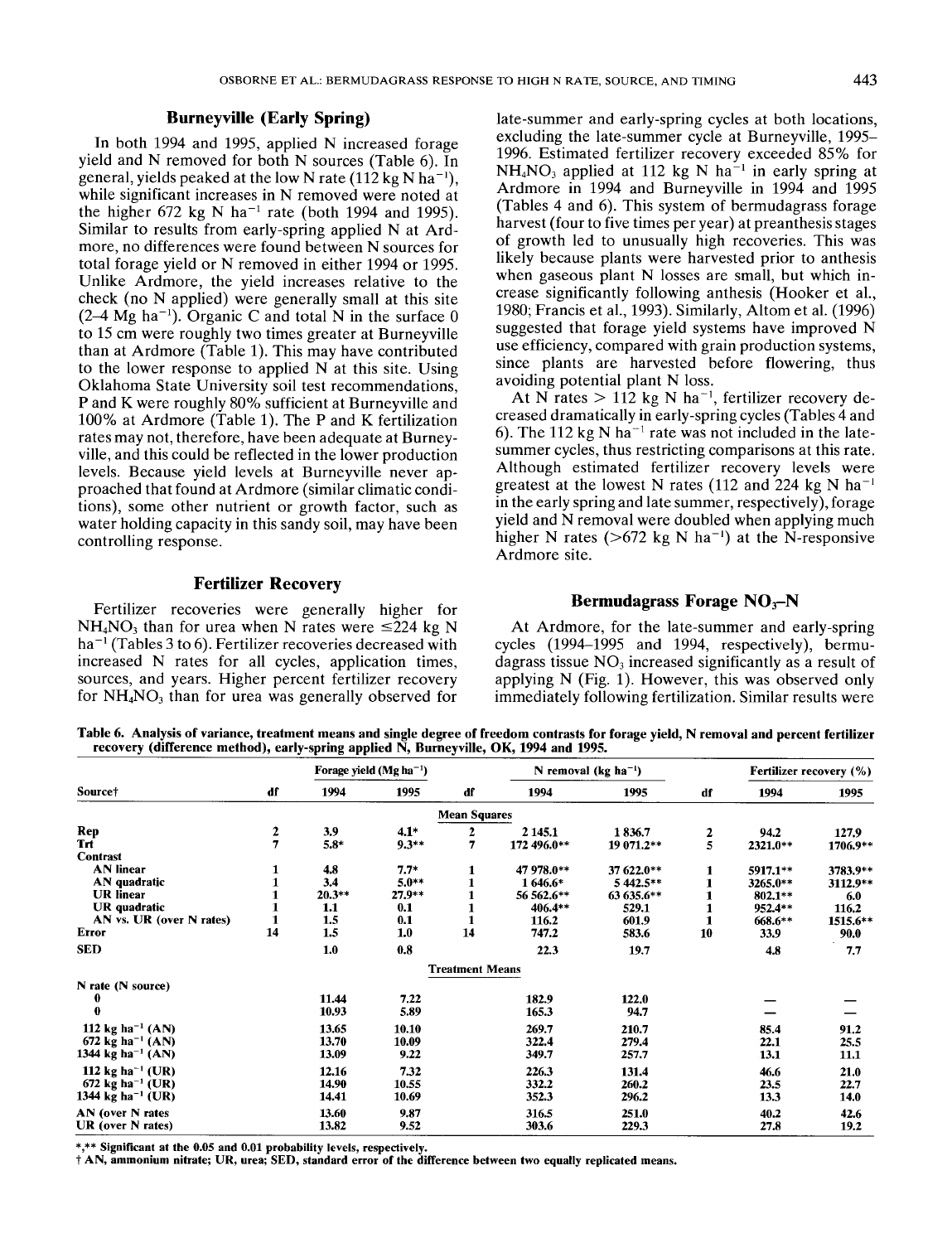## **Burneyville (Early Spring)**

In both 1994 and 1995, applied N increased forage yield and N removed for both N sources (Table 6). In general, yields peaked at the low N rate  $(112 \text{ kg N} \text{ ha}^{-1})$ . while significant increases in N removed were noted at the higher 672 kg N ha<sup>-1</sup> rate (both 1994 and 1995). Similar to results from early-spring applied N at Ardmore, no differences were found between N sources for total forage yield or N removed in either 1994 or 1995. Unlike Ardmore, the yield increases relative to the check (no N applied) were generally small at this site  $(2-4 \text{ Mg ha}^{-1})$ . Organic C and total N in the surface 0 to 15 cm were roughly two times greater at Burneyville than at Ardmore (Table 1). This may have contributed to the lower response to applied  $N$  at this site. Using Oklahoma State University soil test recommendations, P and K were roughly 80% sufficient at Burneyville and 100% at Ardmore (Table **1).** The P and K fertilization rates may not, therefore, have been adequate at Burneyville, and this could be reflected in the lower production levels. Because yield levels at Burneyville never approached that found at Ardmore (similar climatic conditions), some other nutrient or growth factor, such as water holding capacity in this sandy soil, may have been controlling response.

### **Fertilizer Recovery**

Fertilizer recoveries were generally higher for  $NH<sub>4</sub>NO<sub>3</sub>$  than for urea when N rates were  $\leq 224$  kg N  $ha^{-1}$  (Tables 3 to 6). Fertilizer recoveries decreased with increased N rates for all cycles, application times, sources, and years. Higher percent fertilizer recovery for  $NH<sub>4</sub>NO<sub>3</sub>$  than for urea was generally observed for

late-summer and early-spring cycles at both locations, excluding the late-summer cycle at Burneyville, 1995- 1996. Estimated fertilizer recovery exceeded 85% for  $NH<sub>4</sub>NO<sub>3</sub>$  applied at 112 kg N ha<sup>-1</sup> in early spring at Ardmore in 1994 and Burneyville in 1994 and 1995 (Tables 4 and 6). This system of bermudagrass forage harvest (four to five times per year) at preanthesis stages of growth led to unusually high recoveries. This was likely because plants were harvested prior to anthesis when gaseous plant N losses are small, but which increase significantly following anthesis (Hooker et al., 1980; Francis et al., 1993). Similarly, Altom et al. (1996) suggested that forage yield systems have improved N use efficiency, compared with grain production systems, since plants are harvested before flowering, thus avoiding potential plant N loss.

At N rates  $> 112$  kg N ha<sup>-1</sup>, fertilizer recovery decreased dramatically in early-spring cycles (Tables 4 and 6). The 112 kg N ha<sup>-1</sup> rate was not included in the latesummer cycles, thus restricting comparisons at this rate. Although estimated fertilizer recovery levels were greatest at the lowest N rates (112 and 224 kg N ha<sup>-1</sup> in the early spring and late summer, respectively), forage yield and N removal were doubled when applying much higher N rates ( $>672$  kg N ha<sup>-1</sup>) at the N-responsive Ardmore site.

# **Bermudagrass Forage NO<sub>3</sub>-N**

At Ardmore, for the late-summer and early-spring cycles (1994-1995 and 1994, respectively), bermudagrass tissue  $NO<sub>3</sub>$  increased significantly as a result of applying N (Fig. 1). However, this was observed only immediately following fertilization. Similar results were

**Table 6. Analysis of variance, treatment means and single degree of freedom contrasts for forage yield, N removal and percent fertilizer recovery (difference method), early-spring applied N, Burneyville, OK, 1994 and 1995.** 

|                               |               | Forage yield $(Mg ha^{-1})$<br>1994<br>1995 |         |                        | N removal (kg ha <sup>-1</sup> ) |            |    | Fertilizer recovery (%) |          |
|-------------------------------|---------------|---------------------------------------------|---------|------------------------|----------------------------------|------------|----|-------------------------|----------|
| Source†                       | df            |                                             |         | df                     | 1994                             | 1995       | df | 1994                    | 1995     |
|                               |               |                                             |         | <b>Mean Squares</b>    |                                  |            |    |                         |          |
| Rep                           |               | 3.9                                         | $4.1*$  | 2                      | 2 1 4 5 .1                       | 1836.7     | 2  | 94.2                    | 127.9    |
| <b>Trt</b>                    | $\frac{2}{7}$ | $5.8*$                                      | $9.3**$ | 7                      | 172 496.0**                      | 19 071.2** | 5  | 2321.0**                | 1706.9** |
| Contrast                      |               |                                             |         |                        |                                  |            |    |                         |          |
| <b>AN</b> linear              | 1             | 4.8                                         | $7.7*$  |                        | 47 978.0**                       | 37 622.0** | 1  | 5917.1**                | 3783.9** |
| AN quadratic                  |               | 3,4                                         | $5.0**$ |                        | 1 646.6*                         | 5 442.5**  |    | 3265.0**                | 3112.9** |
| <b>UR</b> linear              |               | $20.3**$                                    | 27.9**  |                        | 56 562.6**                       | 63 635.6** |    | 802.1**                 | 6.0      |
| UR quadratic                  |               | 1.1                                         | 0.1     |                        | 406.4**                          | 529.1      |    | 952.4**                 | 116.2    |
| AN vs. UR (over N rates)      |               | 1.5                                         | 0.1     |                        | 116.2                            | 601.9      |    | 668.6**                 | 1515.6** |
| <b>Error</b>                  | 14            | 1.5                                         | 1.0     | 14                     | 747.2                            | 583.6      | 10 | 33.9                    | 90.0     |
| <b>SED</b>                    |               | 1.0                                         | 0.8     |                        | 22.3                             | 19.7       |    | 4.8                     | 7.7      |
|                               |               |                                             |         | <b>Treatment Means</b> |                                  |            |    |                         |          |
| N rate (N source)             |               |                                             |         |                        |                                  |            |    |                         |          |
| 0                             |               | 11.44                                       | 7.22    |                        | 182.9                            | 122.0      |    |                         |          |
| 0                             |               | 10.93                                       | 5.89    |                        | 165.3                            | 94.7       |    |                         |          |
| 112 kg ha <sup>-1</sup> (AN)  |               | 13.65                                       | 10.10   |                        | 269.7                            | 210.7      |    | 85.4                    | 91.2     |
| 672 kg ha <sup>-1</sup> (AN)  |               | 13.70                                       | 10.09   |                        | 322.4                            | 279.4      |    | 22.1                    | 25.5     |
| 1344 kg ha <sup>-1</sup> (AN) |               | 13.09                                       | 9.22    |                        | 349.7                            | 257.7      |    | 13.1                    | 11.1     |
| 112 kg ha <sup>-1</sup> (UR)  |               | 12.16                                       | 7.32    |                        | 226.3                            | 131.4      |    | 46.6                    | 21.0     |
| 672 kg ha <sup>-1</sup> (UR)  |               | 14.90                                       | 10.55   |                        | 332.2                            | 260.2      |    | 23.5                    | 22.7     |
| 1344 kg ha <sup>-1</sup> (UR) |               | 14.41                                       | 10.69   |                        | 352.3                            | 296.2      |    | 13.3                    | 14.0     |
| AN (over N rates              |               | 13.60                                       | 9.87    |                        | 316.5                            | 251.0      |    | 40.2                    | 42.6     |
| UR (over N rates)             |               | 13.82                                       | 9.52    |                        | 303.6                            | 229.3      |    | 27.8                    | 19.2     |

\*,\*\* **Significant at the 0.05 and 0.01 probability levels, respectively.** 

t **AN, ammonium nitrate; UR, urea; SED, standard error of the difference between two equally replicated means.**